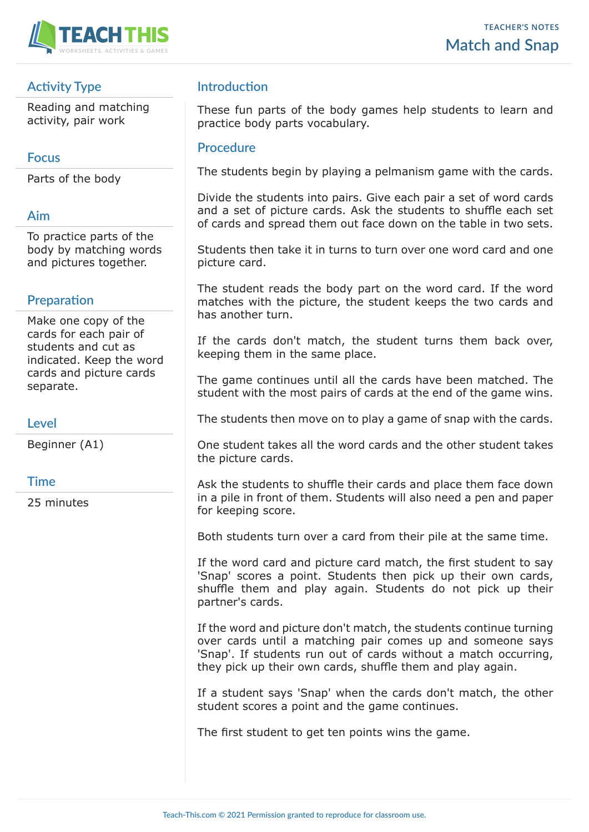

# **Activity Type**

Reading and matching activity, pair work

## **Focus**

Parts of the body

# **Aim**

To practice parts of the body by matching words and pictures together.

#### **Preparation**

Make one copy of the cards for each pair of students and cut as indicated. Keep the word cards and picture cards separate.

## **Level**

Beginner (A1)

#### **Time**

25 minutes

# **Introduction**

These fun parts of the body games help students to learn and practice body parts vocabulary.

#### **Procedure**

The students begin by playing a pelmanism game with the cards.

Divide the students into pairs. Give each pair a set of word cards and a set of picture cards. Ask the students to shuffle each set of cards and spread them out face down on the table in two sets.

Students then take it in turns to turn over one word card and one picture card.

The student reads the body part on the word card. If the word matches with the picture, the student keeps the two cards and has another turn.

If the cards don't match, the student turns them back over, keeping them in the same place.

The game continues until all the cards have been matched. The student with the most pairs of cards at the end of the game wins.

The students then move on to play a game of snap with the cards.

One student takes all the word cards and the other student takes the picture cards.

Ask the students to shuffle their cards and place them face down in a pile in front of them. Students will also need a pen and paper for keeping score.

Both students turn over a card from their pile at the same time.

If the word card and picture card match, the first student to say 'Snap' scores a point. Students then pick up their own cards, shuffle them and play again. Students do not pick up their partner's cards.

If the word and picture don't match, the students continue turning over cards until a matching pair comes up and someone says 'Snap'. If students run out of cards without a match occurring, they pick up their own cards, shuffle them and play again.

If a student says 'Snap' when the cards don't match, the other student scores a point and the game continues.

The first student to get ten points wins the game.